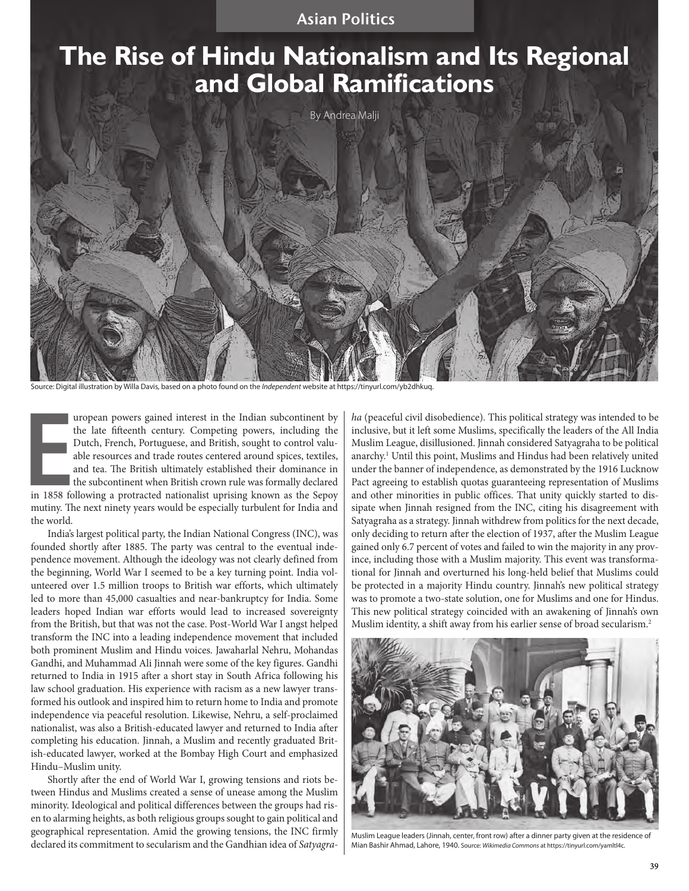# **The Rise of Hindu Nationalism and Its Regional and Global Ramifications**

By Andrea Malji

Source: Digital illustration by Willa Davis, based on a photo found on the *Independent* website at https://tinyurl.com/yb2dhkuq.

Impropean powers gained interest in the Indian subcontinent by<br>the late fifteenth century. Competing powers, including the<br>Dutch, French, Portuguese, and British, sought to control valu-<br>able resources and trade routes cen uropean powers gained interest in the Indian subcontinent by the late fifteenth century. Competing powers, including the Dutch, French, Portuguese, and British, sought to control valuable resources and trade routes centered around spices, textiles, and tea. The British ultimately established their dominance in the subcontinent when British crown rule was formally declared mutiny. The next ninety years would be especially turbulent for India and the world.

India's largest political party, the Indian National Congress (INC), was founded shortly after 1885. The party was central to the eventual independence movement. Although the ideology was not clearly defined from the beginning, World War I seemed to be a key turning point. India volunteered over 1.5 million troops to British war efforts, which ultimately led to more than 45,000 casualties and near-bankruptcy for India. Some leaders hoped Indian war efforts would lead to increased sovereignty from the British, but that was not the case. Post-World War I angst helped transform the INC into a leading independence movement that included both prominent Muslim and Hindu voices. Jawaharlal Nehru, Mohandas Gandhi, and Muhammad Ali Jinnah were some of the key figures. Gandhi returned to India in 1915 after a short stay in South Africa following his law school graduation. His experience with racism as a new lawyer transformed his outlook and inspired him to return home to India and promote independence via peaceful resolution. Likewise, Nehru, a self-proclaimed nationalist, was also a British-educated lawyer and returned to India after completing his education. Jinnah, a Muslim and recently graduated British-educated lawyer, worked at the Bombay High Court and emphasized Hindu–Muslim unity.

Shortly after the end of World War I, growing tensions and riots between Hindus and Muslims created a sense of unease among the Muslim minority. Ideological and political differences between the groups had risen to alarming heights, as both religious groups sought to gain political and geographical representation. Amid the growing tensions, the INC firmly declared its commitment to secularism and the Gandhian idea of *Satyagra-* *ha* (peaceful civil disobedience)*.* This political strategy was intended to be inclusive, but it left some Muslims, specifically the leaders of the All India Muslim League, disillusioned. Jinnah considered Satyagraha to be political anarchy.1 Until this point, Muslims and Hindus had been relatively united under the banner of independence, as demonstrated by the 1916 Lucknow Pact agreeing to establish quotas guaranteeing representation of Muslims and other minorities in public offices. That unity quickly started to dissipate when Jinnah resigned from the INC, citing his disagreement with Satyagraha as a strategy. Jinnah withdrew from politics for the next decade, only deciding to return after the election of 1937, after the Muslim League gained only 6.7 percent of votes and failed to win the majority in any province, including those with a Muslim majority. This event was transformational for Jinnah and overturned his long-held belief that Muslims could be protected in a majority Hindu country. Jinnah's new political strategy was to promote a two-state solution, one for Muslims and one for Hindus. This new political strategy coincided with an awakening of Jinnah's own Muslim identity, a shift away from his earlier sense of broad secularism.2



Muslim League leaders (Jinnah, center, front row) after a dinner party given at the residence of Mian Bashir Ahmad, Lahore, 1940. Source: *Wikimedia Commons* at https://tinyurl.com/yamltl4c.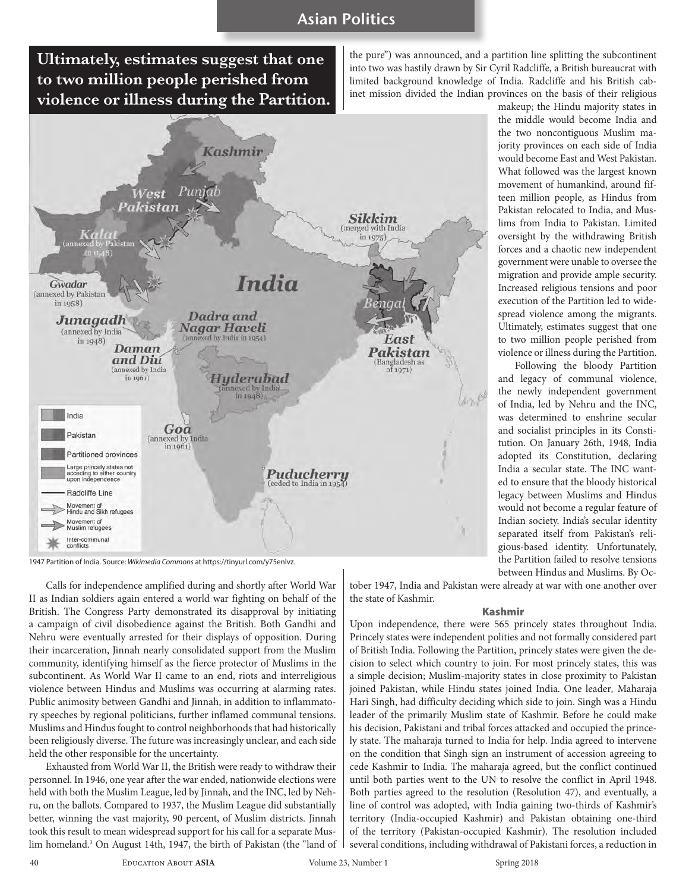**Ultimately, estimates suggest that one to two million people perished from violence or illness during the Partition.**

the pure") was announced, and a partition line splitting the subcontinent into two was hastily drawn by Sir Cyril Radcliffe, a British bureaucrat with limited background knowledge of India. Radcliffe and his British cabinet mission divided the Indian provinces on the basis of their religious

> makeup; the Hindu majority states in the middle would become India and the two noncontiguous Muslim majority provinces on each side of India would become East and West Pakistan. What followed was the largest known movement of humankind, around fifteen million people, as Hindus from Pakistan relocated to India, and Muslims from India to Pakistan. Limited oversight by the withdrawing British forces and a chaotic new independent government were unable to oversee the migration and provide ample security. Increased religious tensions and poor execution of the Partition led to widespread violence among the migrants. Ultimately, estimates suggest that one to two million people perished from violence or illness during the Partition. Following the bloody Partition and legacy of communal violence, the newly independent government of India, led by Nehru and the INC, was determined to enshrine secular and socialist principles in its Constitution. On January 26th, 1948, India adopted its Constitution, declaring India a secular state. The INC wanted to ensure that the bloody historical legacy between Muslims and Hindus would not become a regular feature of Indian society. India's secular identity separated itself from Pakistan's religious-based identity. Unfortunately, the Partition failed to resolve tensions between Hindus and Muslims. By Oc-



1947 Partition of India. Source: *Wikimedia Commons* at https://tinyurl.com/y75enlvz.

Calls for independence amplified during and shortly after World War II as Indian soldiers again entered a world war fighting on behalf of the British. The Congress Party demonstrated its disapproval by initiating a campaign of civil disobedience against the British. Both Gandhi and Nehru were eventually arrested for their displays of opposition. During their incarceration, Jinnah nearly consolidated support from the Muslim community, identifying himself as the fierce protector of Muslims in the subcontinent. As World War II came to an end, riots and interreligious violence between Hindus and Muslims was occurring at alarming rates. Public animosity between Gandhi and Jinnah, in addition to inflammatory speeches by regional politicians, further inflamed communal tensions. Muslims and Hindus fought to control neighborhoods that had historically been religiously diverse. The future was increasingly unclear, and each side held the other responsible for the uncertainty.

Exhausted from World War II, the British were ready to withdraw their personnel. In 1946, one year after the war ended, nationwide elections were held with both the Muslim League, led by Jinnah, and the INC, led by Nehru, on the ballots. Compared to 1937, the Muslim League did substantially better, winning the vast majority, 90 percent, of Muslim districts. Jinnah took this result to mean widespread support for his call for a separate Muslim homeland.3 On August 14th, 1947, the birth of Pakistan (the "land of tober 1947, India and Pakistan were already at war with one another over the state of Kashmir.

#### Kashmir

Upon independence, there were 565 princely states throughout India. Princely states were independent polities and not formally considered part of British India. Following the Partition, princely states were given the decision to select which country to join. For most princely states, this was a simple decision; Muslim-majority states in close proximity to Pakistan joined Pakistan, while Hindu states joined India. One leader*,* Maharaja Hari Singh, had difficulty deciding which side to join. Singh was a Hindu leader of the primarily Muslim state of Kashmir. Before he could make his decision, Pakistani and tribal forces attacked and occupied the princely state. The maharaja turned to India for help. India agreed to intervene on the condition that Singh sign an instrument of accession agreeing to cede Kashmir to India. The maharaja agreed, but the conflict continued until both parties went to the UN to resolve the conflict in April 1948. Both parties agreed to the resolution (Resolution 47), and eventually, a line of control was adopted, with India gaining two-thirds of Kashmir's territory (India-occupied Kashmir) and Pakistan obtaining one-third of the territory (Pakistan-occupied Kashmir). The resolution included several conditions, including withdrawal of Pakistani forces, a reduction in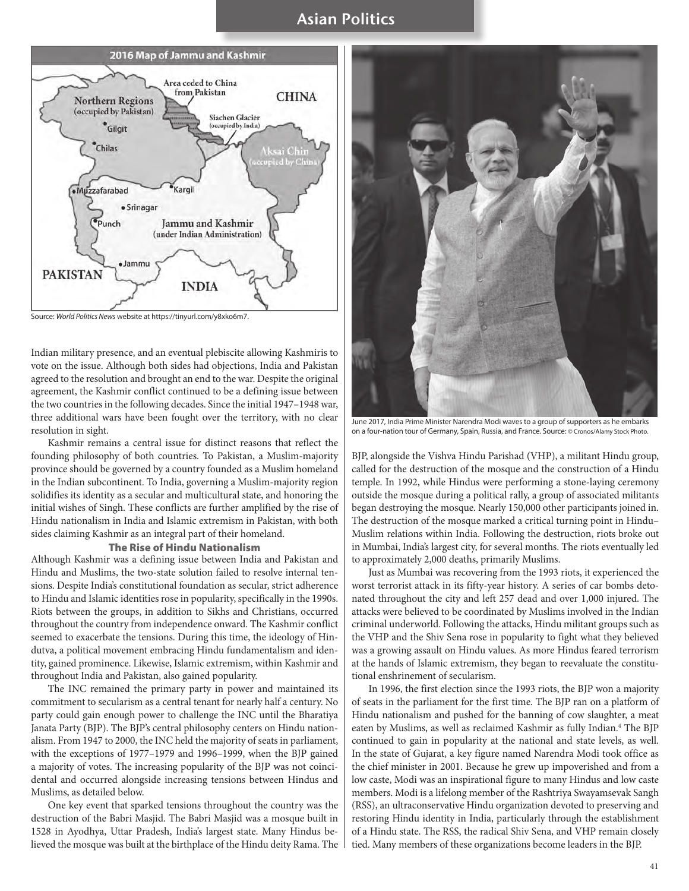

Source: *World Politics News* website at https://tinyurl.com/y8xko6m7.

Indian military presence, and an eventual plebiscite allowing Kashmiris to vote on the issue. Although both sides had objections, India and Pakistan agreed to the resolution and brought an end to the war. Despite the original agreement, the Kashmir conflict continued to be a defining issue between the two countries in the following decades. Since the initial 1947–1948 war, three additional wars have been fought over the territory, with no clear resolution in sight.

Kashmir remains a central issue for distinct reasons that reflect the founding philosophy of both countries. To Pakistan, a Muslim-majority province should be governed by a country founded as a Muslim homeland in the Indian subcontinent. To India, governing a Muslim-majority region solidifies its identity as a secular and multicultural state, and honoring the initial wishes of Singh. These conflicts are further amplified by the rise of Hindu nationalism in India and Islamic extremism in Pakistan, with both sides claiming Kashmir as an integral part of their homeland.

#### The Rise of Hindu Nationalism

Although Kashmir was a defining issue between India and Pakistan and Hindu and Muslims, the two-state solution failed to resolve internal tensions. Despite India's constitutional foundation as secular, strict adherence to Hindu and Islamic identities rose in popularity, specifically in the 1990s. Riots between the groups, in addition to Sikhs and Christians, occurred throughout the country from independence onward. The Kashmir conflict seemed to exacerbate the tensions. During this time, the ideology of Hindutva, a political movement embracing Hindu fundamentalism and identity, gained prominence. Likewise, Islamic extremism, within Kashmir and throughout India and Pakistan, also gained popularity.

The INC remained the primary party in power and maintained its commitment to secularism as a central tenant for nearly half a century. No party could gain enough power to challenge the INC until the Bharatiya Janata Party (BJP). The BJP's central philosophy centers on Hindu nationalism. From 1947 to 2000, the INC held the majority of seats in parliament, with the exceptions of 1977–1979 and 1996–1999, when the BJP gained a majority of votes. The increasing popularity of the BJP was not coincidental and occurred alongside increasing tensions between Hindus and Muslims, as detailed below.

One key event that sparked tensions throughout the country was the destruction of the Babri Masjid. The Babri Masjid was a mosque built in 1528 in Ayodhya, Uttar Pradesh, India's largest state. Many Hindus believed the mosque was built at the birthplace of the Hindu deity Rama. The



June 2017, India Prime Minister Narendra Modi waves to a group of supporters as he embarks on a four-nation tour of Germany, Spain, Russia, and France. Source: © Cronos/Alamy Stock Photo.

BJP, alongside the Vishva Hindu Parishad (VHP), a militant Hindu group, called for the destruction of the mosque and the construction of a Hindu temple. In 1992, while Hindus were performing a stone-laying ceremony outside the mosque during a political rally, a group of associated militants began destroying the mosque. Nearly 150,000 other participants joined in. The destruction of the mosque marked a critical turning point in Hindu– Muslim relations within India. Following the destruction, riots broke out in Mumbai, India's largest city, for several months. The riots eventually led to approximately 2,000 deaths, primarily Muslims.

Just as Mumbai was recovering from the 1993 riots, it experienced the worst terrorist attack in its fifty-year history. A series of car bombs detonated throughout the city and left 257 dead and over 1,000 injured. The attacks were believed to be coordinated by Muslims involved in the Indian criminal underworld. Following the attacks, Hindu militant groups such as the VHP and the Shiv Sena rose in popularity to fight what they believed was a growing assault on Hindu values. As more Hindus feared terrorism at the hands of Islamic extremism, they began to reevaluate the constitutional enshrinement of secularism.

In 1996, the first election since the 1993 riots, the BJP won a majority of seats in the parliament for the first time. The BJP ran on a platform of Hindu nationalism and pushed for the banning of cow slaughter, a meat eaten by Muslims, as well as reclaimed Kashmir as fully Indian.4 The BJP continued to gain in popularity at the national and state levels, as well. In the state of Gujarat, a key figure named Narendra Modi took office as the chief minister in 2001. Because he grew up impoverished and from a low caste, Modi was an inspirational figure to many Hindus and low caste members. Modi is a lifelong member of the Rashtriya Swayamsevak Sangh (RSS), an ultraconservative Hindu organization devoted to preserving and restoring Hindu identity in India, particularly through the establishment of a Hindu state. The RSS, the radical Shiv Sena, and VHP remain closely tied. Many members of these organizations become leaders in the BJP.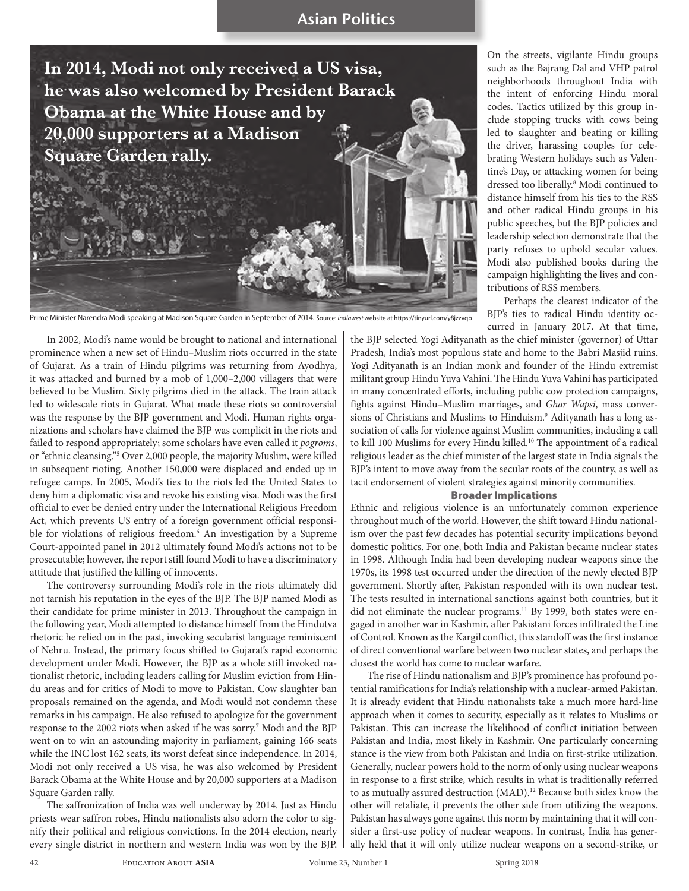**In 2014, Modi not only received a US visa, he was also welcomed by President Barack Obama at the White House and by 20,000 supporters at a Madison Square Garden rally.**

Prime Minister Narendra Modi speaking at Madison Square Garden in September of 2014. Source: *Indiawest* website at https://tinyurl.com/y8jzzvqb

In 2002, Modi's name would be brought to national and international prominence when a new set of Hindu–Muslim riots occurred in the state of Gujarat. As a train of Hindu pilgrims was returning from Ayodhya, it was attacked and burned by a mob of 1,000–2,000 villagers that were believed to be Muslim. Sixty pilgrims died in the attack. The train attack led to widescale riots in Gujarat. What made these riots so controversial was the response by the BJP government and Modi. Human rights organizations and scholars have claimed the BJP was complicit in the riots and failed to respond appropriately; some scholars have even called it *pogroms*, or "ethnic cleansing."5 Over 2,000 people, the majority Muslim, were killed in subsequent rioting. Another 150,000 were displaced and ended up in refugee camps. In 2005, Modi's ties to the riots led the United States to deny him a diplomatic visa and revoke his existing visa. Modi was the first official to ever be denied entry under the International Religious Freedom Act, which prevents US entry of a foreign government official responsible for violations of religious freedom.<sup>6</sup> An investigation by a Supreme Court-appointed panel in 2012 ultimately found Modi's actions not to be prosecutable; however, the report still found Modi to have a discriminatory attitude that justified the killing of innocents.

The controversy surrounding Modi's role in the riots ultimately did not tarnish his reputation in the eyes of the BJP. The BJP named Modi as their candidate for prime minister in 2013. Throughout the campaign in the following year, Modi attempted to distance himself from the Hindutva rhetoric he relied on in the past, invoking secularist language reminiscent of Nehru. Instead, the primary focus shifted to Gujarat's rapid economic development under Modi. However, the BJP as a whole still invoked nationalist rhetoric, including leaders calling for Muslim eviction from Hindu areas and for critics of Modi to move to Pakistan. Cow slaughter ban proposals remained on the agenda, and Modi would not condemn these remarks in his campaign. He also refused to apologize for the government response to the 2002 riots when asked if he was sorry.<sup>7</sup> Modi and the BJP went on to win an astounding majority in parliament, gaining 166 seats while the INC lost 162 seats, its worst defeat since independence. In 2014, Modi not only received a US visa, he was also welcomed by President Barack Obama at the White House and by 20,000 supporters at a Madison Square Garden rally.

The saffronization of India was well underway by 2014. Just as Hindu priests wear saffron robes, Hindu nationalists also adorn the color to signify their political and religious convictions. In the 2014 election, nearly every single district in northern and western India was won by the BJP. On the streets, vigilante Hindu groups such as the Bajrang Dal and VHP patrol neighborhoods throughout India with the intent of enforcing Hindu moral codes. Tactics utilized by this group include stopping trucks with cows being led to slaughter and beating or killing the driver, harassing couples for celebrating Western holidays such as Valentine's Day, or attacking women for being dressed too liberally.8 Modi continued to distance himself from his ties to the RSS and other radical Hindu groups in his public speeches, but the BJP policies and leadership selection demonstrate that the party refuses to uphold secular values. Modi also published books during the campaign highlighting the lives and contributions of RSS members.

Perhaps the clearest indicator of the BJP's ties to radical Hindu identity occurred in January 2017. At that time,

the BJP selected Yogi Adityanath as the chief minister (governor) of Uttar Pradesh, India's most populous state and home to the Babri Masjid ruins. Yogi Adityanath is an Indian monk and founder of the Hindu extremist militant group Hindu Yuva Vahini. The Hindu Yuva Vahini has participated in many concentrated efforts, including public cow protection campaigns, fights against Hindu–Muslim marriages, and *Ghar Wapsi*, mass conversions of Christians and Muslims to Hinduism.<sup>9</sup> Adityanath has a long association of calls for violence against Muslim communities, including a call to kill 100 Muslims for every Hindu killed.<sup>10</sup> The appointment of a radical religious leader as the chief minister of the largest state in India signals the BJP's intent to move away from the secular roots of the country, as well as tacit endorsement of violent strategies against minority communities.

### Broader Implications

Ethnic and religious violence is an unfortunately common experience throughout much of the world. However, the shift toward Hindu nationalism over the past few decades has potential security implications beyond domestic politics. For one, both India and Pakistan became nuclear states in 1998. Although India had been developing nuclear weapons since the 1970s, its 1998 test occurred under the direction of the newly elected BJP government. Shortly after, Pakistan responded with its own nuclear test. The tests resulted in international sanctions against both countries, but it did not eliminate the nuclear programs.<sup>11</sup> By 1999, both states were engaged in another war in Kashmir, after Pakistani forces infiltrated the Line of Control. Known as the Kargil conflict, this standoff was the first instance of direct conventional warfare between two nuclear states, and perhaps the closest the world has come to nuclear warfare.

The rise of Hindu nationalism and BJP's prominence has profound potential ramifications for India's relationship with a nuclear-armed Pakistan. It is already evident that Hindu nationalists take a much more hard-line approach when it comes to security, especially as it relates to Muslims or Pakistan. This can increase the likelihood of conflict initiation between Pakistan and India, most likely in Kashmir. One particularly concerning stance is the view from both Pakistan and India on first-strike utilization. Generally, nuclear powers hold to the norm of only using nuclear weapons in response to a first strike, which results in what is traditionally referred to as mutually assured destruction (MAD).<sup>12</sup> Because both sides know the other will retaliate, it prevents the other side from utilizing the weapons. Pakistan has always gone against this norm by maintaining that it will consider a first-use policy of nuclear weapons. In contrast, India has generally held that it will only utilize nuclear weapons on a second-strike, or